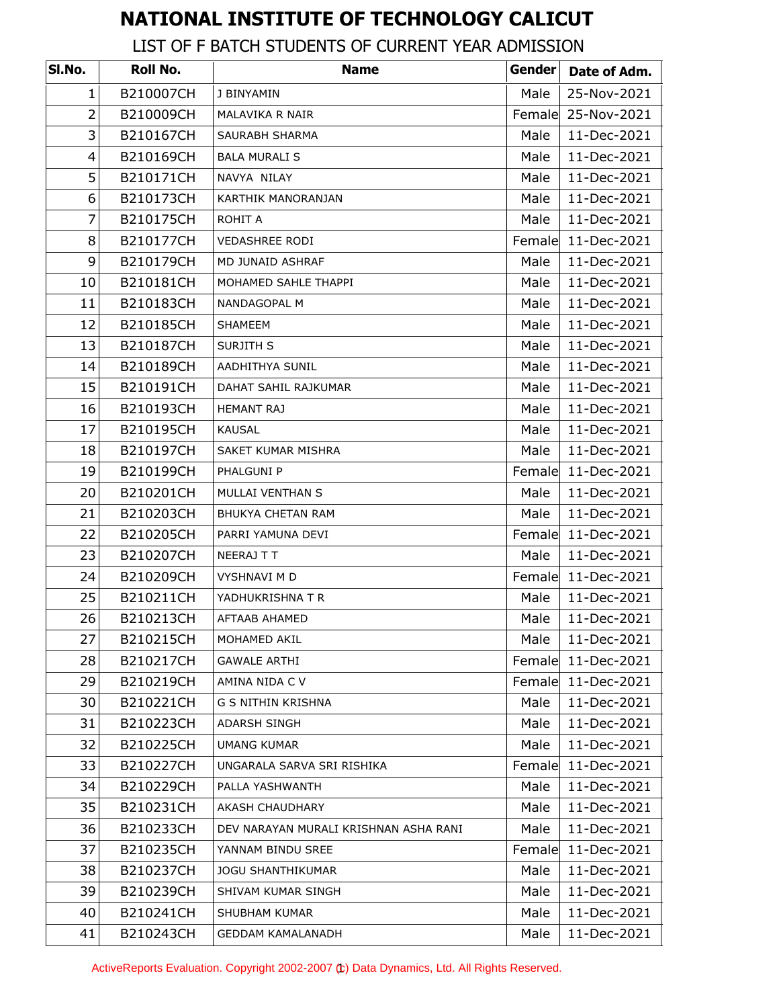## **NATIONAL INSTITUTE OF TECHNOLOGY CALICUT**

## LIST OF F BATCH STUDENTS OF CURRENT YEAR ADMISSION

| SI.No.         | Roll No.  | <b>Name</b>                           | Gender | Date of Adm. |
|----------------|-----------|---------------------------------------|--------|--------------|
| $\mathbf{1}$   | B210007CH | J BINYAMIN                            | Male   | 25-Nov-2021  |
| $\overline{2}$ | B210009CH | MALAVIKA R NAIR                       | Female | 25-Nov-2021  |
| 3              | B210167CH | SAURABH SHARMA                        | Male   | 11-Dec-2021  |
| 4              | B210169CH | <b>BALA MURALI S</b>                  | Male   | 11-Dec-2021  |
| 5              | B210171CH | NAVYA NILAY                           | Male   | 11-Dec-2021  |
| 6              | B210173CH | KARTHIK MANORANJAN                    | Male   | 11-Dec-2021  |
| $\overline{7}$ | B210175CH | ROHIT A                               | Male   | 11-Dec-2021  |
| 8              | B210177CH | <b>VEDASHREE RODI</b>                 | Female | 11-Dec-2021  |
| 9              | B210179CH | MD JUNAID ASHRAF                      | Male   | 11-Dec-2021  |
| 10             | B210181CH | MOHAMED SAHLE THAPPI                  | Male   | 11-Dec-2021  |
| 11             | B210183CH | NANDAGOPAL M                          | Male   | 11-Dec-2021  |
| 12             | B210185CH | SHAMEEM                               | Male   | 11-Dec-2021  |
| 13             | B210187CH | SURJITH S                             | Male   | 11-Dec-2021  |
| 14             | B210189CH | <b>AADHITHYA SUNIL</b>                | Male   | 11-Dec-2021  |
| 15             | B210191CH | DAHAT SAHIL RAJKUMAR                  | Male   | 11-Dec-2021  |
| 16             | B210193CH | <b>HEMANT RAJ</b>                     | Male   | 11-Dec-2021  |
| 17             | B210195CH | <b>KAUSAL</b>                         | Male   | 11-Dec-2021  |
| 18             | B210197CH | SAKET KUMAR MISHRA                    | Male   | 11-Dec-2021  |
| 19             | B210199CH | PHALGUNI P                            | Female | 11-Dec-2021  |
| 20             | B210201CH | MULLAI VENTHAN S                      | Male   | 11-Dec-2021  |
| 21             | B210203CH | <b>BHUKYA CHETAN RAM</b>              | Male   | 11-Dec-2021  |
| 22             | B210205CH | PARRI YAMUNA DEVI                     | Female | 11-Dec-2021  |
| 23             | B210207CH | NEERAJ T T                            | Male   | 11-Dec-2021  |
| 24             | B210209CH | VYSHNAVI M D                          | Female | 11-Dec-2021  |
| 25             | B210211CH | YADHUKRISHNA T R                      | Male   | 11-Dec-2021  |
| 26             | B210213CH | AFTAAB AHAMED                         | Male   | 11-Dec-2021  |
| 27             | B210215CH | MOHAMED AKIL                          | Male   | 11-Dec-2021  |
| 28             | B210217CH | <b>GAWALE ARTHI</b>                   | Female | 11-Dec-2021  |
| 29             | B210219CH | AMINA NIDA C V                        | Female | 11-Dec-2021  |
| 30             | B210221CH | G S NITHIN KRISHNA                    | Male   | 11-Dec-2021  |
| 31             | B210223CH | ADARSH SINGH                          | Male   | 11-Dec-2021  |
| 32             | B210225CH | <b>UMANG KUMAR</b>                    | Male   | 11-Dec-2021  |
| 33             | B210227CH | UNGARALA SARVA SRI RISHIKA            | Female | 11-Dec-2021  |
| 34             | B210229CH | PALLA YASHWANTH                       | Male   | 11-Dec-2021  |
| 35             | B210231CH | AKASH CHAUDHARY                       | Male   | 11-Dec-2021  |
| 36             | B210233CH | DEV NARAYAN MURALI KRISHNAN ASHA RANI | Male   | 11-Dec-2021  |
| 37             | B210235CH | YANNAM BINDU SREE                     | Female | 11-Dec-2021  |
| 38             | B210237CH | <b>JOGU SHANTHIKUMAR</b>              | Male   | 11-Dec-2021  |
| 39             | B210239CH | SHIVAM KUMAR SINGH                    | Male   | 11-Dec-2021  |
| 40             | B210241CH | SHUBHAM KUMAR                         | Male   | 11-Dec-2021  |
| 41             | B210243CH | <b>GEDDAM KAMALANADH</b>              | Male   | 11-Dec-2021  |

ActiveReports Evaluation. Copyright 2002-2007 (t) Data Dynamics, Ltd. All Rights Reserved.